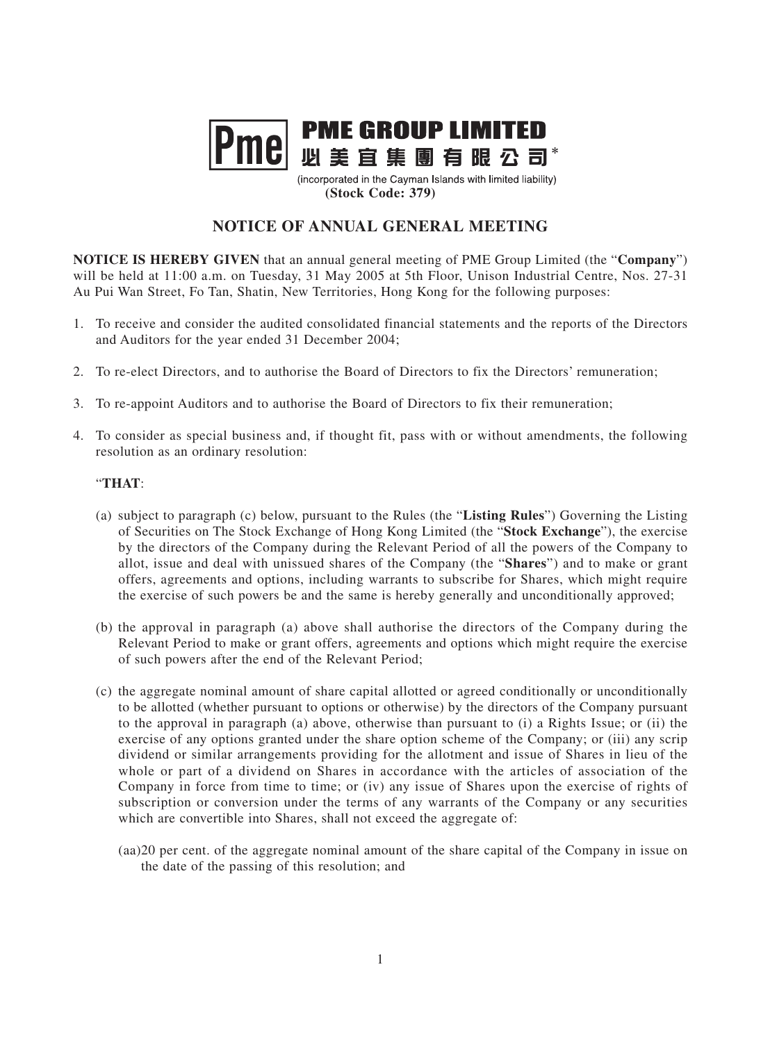## **PME GROUP LIMITED** Pme 四美宜集團有眼公司

(incorporated in the Cayman Islands with limited liability) **(Stock Code: 379)**

## **NOTICE OF ANNUAL GENERAL MEETING**

**NOTICE IS HEREBY GIVEN** that an annual general meeting of PME Group Limited (the "**Company**") will be held at 11:00 a.m. on Tuesday, 31 May 2005 at 5th Floor, Unison Industrial Centre, Nos. 27-31 Au Pui Wan Street, Fo Tan, Shatin, New Territories, Hong Kong for the following purposes:

- 1. To receive and consider the audited consolidated financial statements and the reports of the Directors and Auditors for the year ended 31 December 2004;
- 2. To re-elect Directors, and to authorise the Board of Directors to fix the Directors' remuneration;
- 3. To re-appoint Auditors and to authorise the Board of Directors to fix their remuneration;
- 4. To consider as special business and, if thought fit, pass with or without amendments, the following resolution as an ordinary resolution:

## "**THAT**:

- (a) subject to paragraph (c) below, pursuant to the Rules (the "**Listing Rules**") Governing the Listing of Securities on The Stock Exchange of Hong Kong Limited (the "**Stock Exchange**"), the exercise by the directors of the Company during the Relevant Period of all the powers of the Company to allot, issue and deal with unissued shares of the Company (the "**Shares**") and to make or grant offers, agreements and options, including warrants to subscribe for Shares, which might require the exercise of such powers be and the same is hereby generally and unconditionally approved;
- (b) the approval in paragraph (a) above shall authorise the directors of the Company during the Relevant Period to make or grant offers, agreements and options which might require the exercise of such powers after the end of the Relevant Period;
- (c) the aggregate nominal amount of share capital allotted or agreed conditionally or unconditionally to be allotted (whether pursuant to options or otherwise) by the directors of the Company pursuant to the approval in paragraph (a) above, otherwise than pursuant to (i) a Rights Issue; or (ii) the exercise of any options granted under the share option scheme of the Company; or (iii) any scrip dividend or similar arrangements providing for the allotment and issue of Shares in lieu of the whole or part of a dividend on Shares in accordance with the articles of association of the Company in force from time to time; or (iv) any issue of Shares upon the exercise of rights of subscription or conversion under the terms of any warrants of the Company or any securities which are convertible into Shares, shall not exceed the aggregate of:
	- (aa)20 per cent. of the aggregate nominal amount of the share capital of the Company in issue on the date of the passing of this resolution; and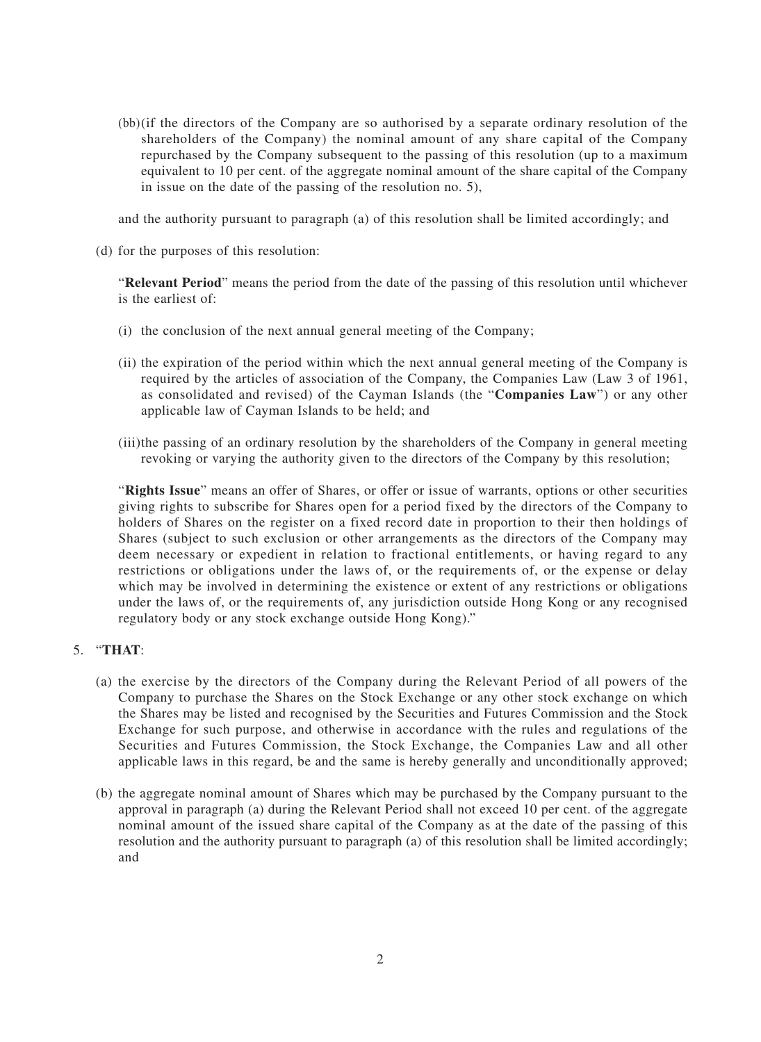(bb)(if the directors of the Company are so authorised by a separate ordinary resolution of the shareholders of the Company) the nominal amount of any share capital of the Company repurchased by the Company subsequent to the passing of this resolution (up to a maximum equivalent to 10 per cent. of the aggregate nominal amount of the share capital of the Company in issue on the date of the passing of the resolution no. 5),

and the authority pursuant to paragraph (a) of this resolution shall be limited accordingly; and

(d) for the purposes of this resolution:

"**Relevant Period**" means the period from the date of the passing of this resolution until whichever is the earliest of:

- (i) the conclusion of the next annual general meeting of the Company;
- (ii) the expiration of the period within which the next annual general meeting of the Company is required by the articles of association of the Company, the Companies Law (Law 3 of 1961, as consolidated and revised) of the Cayman Islands (the "**Companies Law**") or any other applicable law of Cayman Islands to be held; and
- (iii)the passing of an ordinary resolution by the shareholders of the Company in general meeting revoking or varying the authority given to the directors of the Company by this resolution;

"**Rights Issue**" means an offer of Shares, or offer or issue of warrants, options or other securities giving rights to subscribe for Shares open for a period fixed by the directors of the Company to holders of Shares on the register on a fixed record date in proportion to their then holdings of Shares (subject to such exclusion or other arrangements as the directors of the Company may deem necessary or expedient in relation to fractional entitlements, or having regard to any restrictions or obligations under the laws of, or the requirements of, or the expense or delay which may be involved in determining the existence or extent of any restrictions or obligations under the laws of, or the requirements of, any jurisdiction outside Hong Kong or any recognised regulatory body or any stock exchange outside Hong Kong)."

## 5. "**THAT**:

- (a) the exercise by the directors of the Company during the Relevant Period of all powers of the Company to purchase the Shares on the Stock Exchange or any other stock exchange on which the Shares may be listed and recognised by the Securities and Futures Commission and the Stock Exchange for such purpose, and otherwise in accordance with the rules and regulations of the Securities and Futures Commission, the Stock Exchange, the Companies Law and all other applicable laws in this regard, be and the same is hereby generally and unconditionally approved;
- (b) the aggregate nominal amount of Shares which may be purchased by the Company pursuant to the approval in paragraph (a) during the Relevant Period shall not exceed 10 per cent. of the aggregate nominal amount of the issued share capital of the Company as at the date of the passing of this resolution and the authority pursuant to paragraph (a) of this resolution shall be limited accordingly; and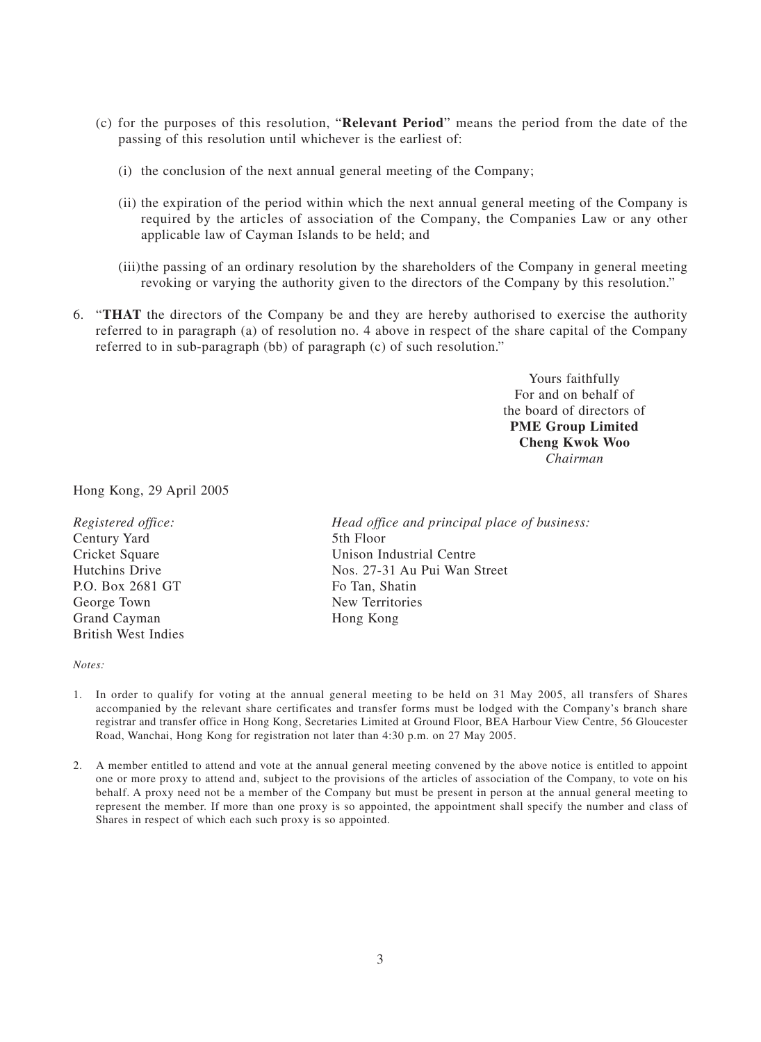- (c) for the purposes of this resolution, "**Relevant Period**" means the period from the date of the passing of this resolution until whichever is the earliest of:
	- (i) the conclusion of the next annual general meeting of the Company;
	- (ii) the expiration of the period within which the next annual general meeting of the Company is required by the articles of association of the Company, the Companies Law or any other applicable law of Cayman Islands to be held; and
	- (iii)the passing of an ordinary resolution by the shareholders of the Company in general meeting revoking or varying the authority given to the directors of the Company by this resolution."
- 6. "**THAT** the directors of the Company be and they are hereby authorised to exercise the authority referred to in paragraph (a) of resolution no. 4 above in respect of the share capital of the Company referred to in sub-paragraph (bb) of paragraph (c) of such resolution."

Yours faithfully For and on behalf of the board of directors of **PME Group Limited Cheng Kwok Woo** *Chairman*

Hong Kong, 29 April 2005

Century Yard 5th Floor P.O. Box 2681 GT Fo Tan, Shatin George Town New Territories Grand Cayman Hong Kong British West Indies

*Registered office: Head office and principal place of business:* Cricket Square Unison Industrial Centre Hutchins Drive Nos. 27-31 Au Pui Wan Street

*Notes:*

- 1. In order to qualify for voting at the annual general meeting to be held on 31 May 2005, all transfers of Shares accompanied by the relevant share certificates and transfer forms must be lodged with the Company's branch share registrar and transfer office in Hong Kong, Secretaries Limited at Ground Floor, BEA Harbour View Centre, 56 Gloucester Road, Wanchai, Hong Kong for registration not later than 4:30 p.m. on 27 May 2005.
- 2. A member entitled to attend and vote at the annual general meeting convened by the above notice is entitled to appoint one or more proxy to attend and, subject to the provisions of the articles of association of the Company, to vote on his behalf. A proxy need not be a member of the Company but must be present in person at the annual general meeting to represent the member. If more than one proxy is so appointed, the appointment shall specify the number and class of Shares in respect of which each such proxy is so appointed.